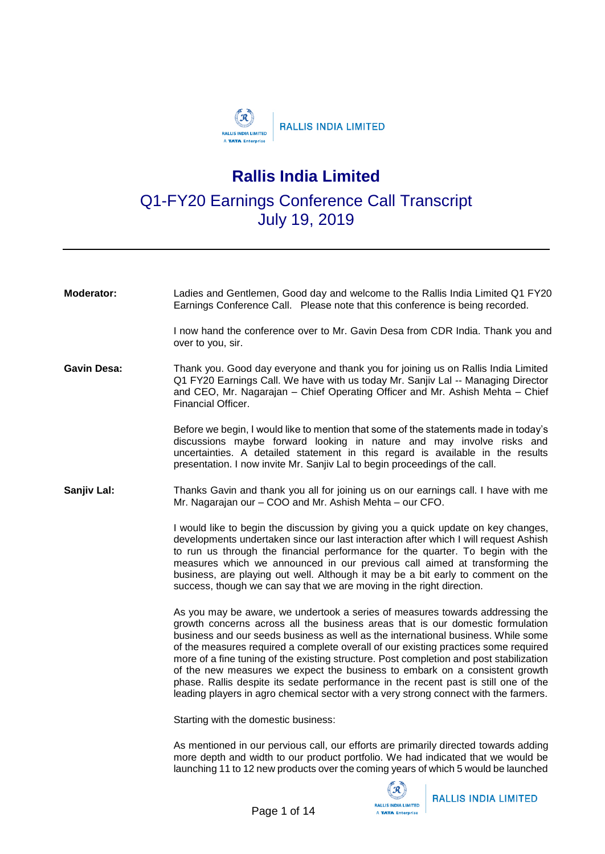

## **Rallis India Limited**

Q1-FY20 Earnings Conference Call Transcript July 19, 2019

| Moderator:         | Ladies and Gentlemen, Good day and welcome to the Rallis India Limited Q1 FY20<br>Earnings Conference Call. Please note that this conference is being recorded.                                                                                                                                                                                                                                                                                                                                                                                                                                                                                                                                      |
|--------------------|------------------------------------------------------------------------------------------------------------------------------------------------------------------------------------------------------------------------------------------------------------------------------------------------------------------------------------------------------------------------------------------------------------------------------------------------------------------------------------------------------------------------------------------------------------------------------------------------------------------------------------------------------------------------------------------------------|
|                    | I now hand the conference over to Mr. Gavin Desa from CDR India. Thank you and<br>over to you, sir.                                                                                                                                                                                                                                                                                                                                                                                                                                                                                                                                                                                                  |
| <b>Gavin Desa:</b> | Thank you. Good day everyone and thank you for joining us on Rallis India Limited<br>Q1 FY20 Earnings Call. We have with us today Mr. Sanjiv Lal -- Managing Director<br>and CEO, Mr. Nagarajan - Chief Operating Officer and Mr. Ashish Mehta - Chief<br>Financial Officer.                                                                                                                                                                                                                                                                                                                                                                                                                         |
|                    | Before we begin, I would like to mention that some of the statements made in today's<br>discussions maybe forward looking in nature and may involve risks and<br>uncertainties. A detailed statement in this regard is available in the results<br>presentation. I now invite Mr. Sanjiv Lal to begin proceedings of the call.                                                                                                                                                                                                                                                                                                                                                                       |
| Sanjiv Lal:        | Thanks Gavin and thank you all for joining us on our earnings call. I have with me<br>Mr. Nagarajan our - COO and Mr. Ashish Mehta - our CFO.                                                                                                                                                                                                                                                                                                                                                                                                                                                                                                                                                        |
|                    | I would like to begin the discussion by giving you a quick update on key changes,<br>developments undertaken since our last interaction after which I will request Ashish<br>to run us through the financial performance for the quarter. To begin with the<br>measures which we announced in our previous call aimed at transforming the<br>business, are playing out well. Although it may be a bit early to comment on the<br>success, though we can say that we are moving in the right direction.                                                                                                                                                                                               |
|                    | As you may be aware, we undertook a series of measures towards addressing the<br>growth concerns across all the business areas that is our domestic formulation<br>business and our seeds business as well as the international business. While some<br>of the measures required a complete overall of our existing practices some required<br>more of a fine tuning of the existing structure. Post completion and post stabilization<br>of the new measures we expect the business to embark on a consistent growth<br>phase. Rallis despite its sedate performance in the recent past is still one of the<br>leading players in agro chemical sector with a very strong connect with the farmers. |
|                    | Starting with the domestic business:                                                                                                                                                                                                                                                                                                                                                                                                                                                                                                                                                                                                                                                                 |
|                    | As mentioned in our pervious call, our efforts are primarily directed towards adding<br>more denth and width to our product portfolio We had indicated that we would he                                                                                                                                                                                                                                                                                                                                                                                                                                                                                                                              |

more depth and width to our product portfolio. We had indicated that we would be launching 11 to 12 new products over the coming years of which 5 would be launched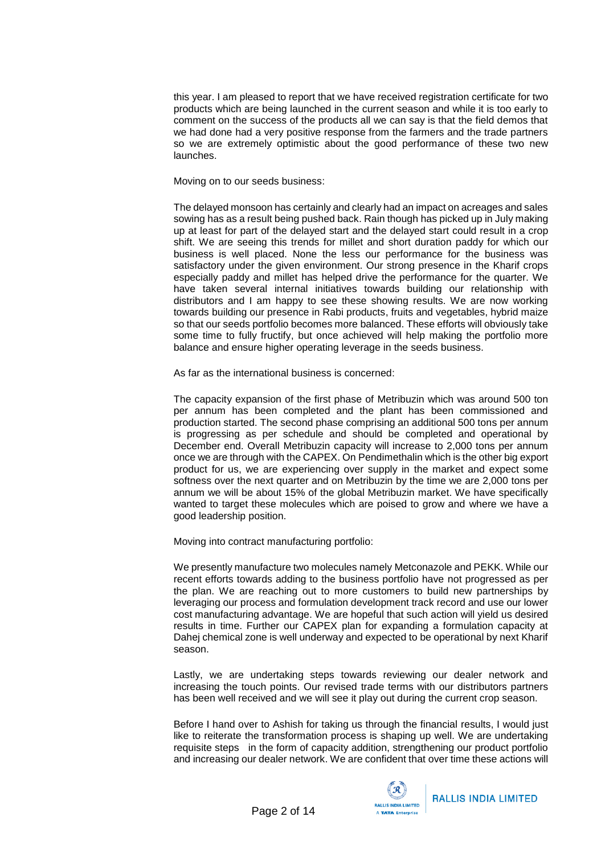this year. I am pleased to report that we have received registration certificate for two products which are being launched in the current season and while it is too early to comment on the success of the products all we can say is that the field demos that we had done had a very positive response from the farmers and the trade partners so we are extremely optimistic about the good performance of these two new launches.

Moving on to our seeds business:

The delayed monsoon has certainly and clearly had an impact on acreages and sales sowing has as a result being pushed back. Rain though has picked up in July making up at least for part of the delayed start and the delayed start could result in a crop shift. We are seeing this trends for millet and short duration paddy for which our business is well placed. None the less our performance for the business was satisfactory under the given environment. Our strong presence in the Kharif crops especially paddy and millet has helped drive the performance for the quarter. We have taken several internal initiatives towards building our relationship with distributors and I am happy to see these showing results. We are now working towards building our presence in Rabi products, fruits and vegetables, hybrid maize so that our seeds portfolio becomes more balanced. These efforts will obviously take some time to fully fructify, but once achieved will help making the portfolio more balance and ensure higher operating leverage in the seeds business.

As far as the international business is concerned:

The capacity expansion of the first phase of Metribuzin which was around 500 ton per annum has been completed and the plant has been commissioned and production started. The second phase comprising an additional 500 tons per annum is progressing as per schedule and should be completed and operational by December end. Overall Metribuzin capacity will increase to 2,000 tons per annum once we are through with the CAPEX. On Pendimethalin which is the other big export product for us, we are experiencing over supply in the market and expect some softness over the next quarter and on Metribuzin by the time we are 2,000 tons per annum we will be about 15% of the global Metribuzin market. We have specifically wanted to target these molecules which are poised to grow and where we have a good leadership position.

Moving into contract manufacturing portfolio:

We presently manufacture two molecules namely Metconazole and PEKK. While our recent efforts towards adding to the business portfolio have not progressed as per the plan. We are reaching out to more customers to build new partnerships by leveraging our process and formulation development track record and use our lower cost manufacturing advantage. We are hopeful that such action will yield us desired results in time. Further our CAPEX plan for expanding a formulation capacity at Dahej chemical zone is well underway and expected to be operational by next Kharif season.

Lastly, we are undertaking steps towards reviewing our dealer network and increasing the touch points. Our revised trade terms with our distributors partners has been well received and we will see it play out during the current crop season.

Before I hand over to Ashish for taking us through the financial results, I would just like to reiterate the transformation process is shaping up well. We are undertaking requisite steps in the form of capacity addition, strengthening our product portfolio and increasing our dealer network. We are confident that over time these actions will

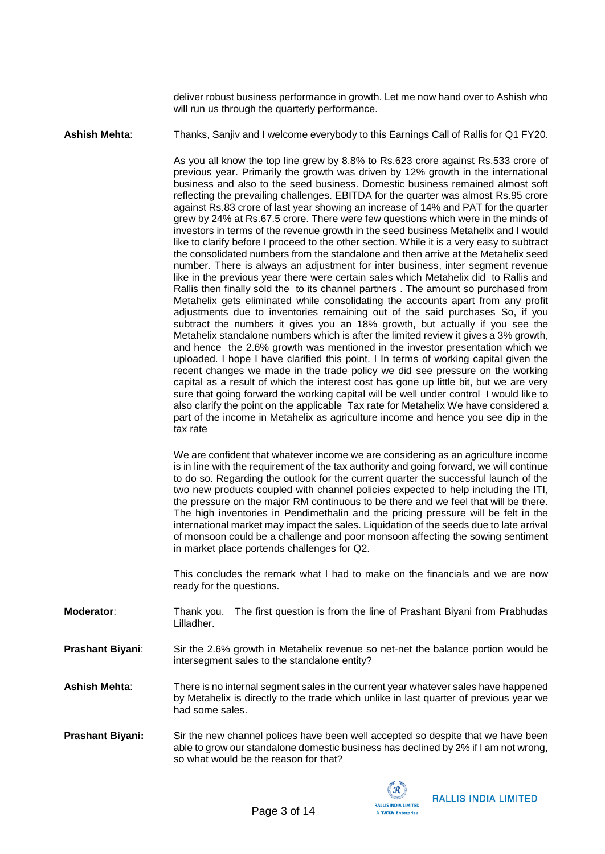deliver robust business performance in growth. Let me now hand over to Ashish who will run us through the quarterly performance.

**Ashish Mehta**: Thanks, Sanjiv and I welcome everybody to this Earnings Call of Rallis for Q1 FY20.

As you all know the top line grew by 8.8% to Rs.623 crore against Rs.533 crore of previous year. Primarily the growth was driven by 12% growth in the international business and also to the seed business. Domestic business remained almost soft reflecting the prevailing challenges. EBITDA for the quarter was almost Rs.95 crore against Rs.83 crore of last year showing an increase of 14% and PAT for the quarter grew by 24% at Rs.67.5 crore. There were few questions which were in the minds of investors in terms of the revenue growth in the seed business Metahelix and I would like to clarify before I proceed to the other section. While it is a very easy to subtract the consolidated numbers from the standalone and then arrive at the Metahelix seed number. There is always an adjustment for inter business, inter segment revenue like in the previous year there were certain sales which Metahelix did to Rallis and Rallis then finally sold the to its channel partners . The amount so purchased from Metahelix gets eliminated while consolidating the accounts apart from any profit adjustments due to inventories remaining out of the said purchases So, if you subtract the numbers it gives you an 18% growth, but actually if you see the Metahelix standalone numbers which is after the limited review it gives a 3% growth, and hence the 2.6% growth was mentioned in the investor presentation which we uploaded. I hope I have clarified this point. I In terms of working capital given the recent changes we made in the trade policy we did see pressure on the working capital as a result of which the interest cost has gone up little bit, but we are very sure that going forward the working capital will be well under control I would like to also clarify the point on the applicable Tax rate for Metahelix We have considered a part of the income in Metahelix as agriculture income and hence you see dip in the tax rate

We are confident that whatever income we are considering as an agriculture income is in line with the requirement of the tax authority and going forward, we will continue to do so. Regarding the outlook for the current quarter the successful launch of the two new products coupled with channel policies expected to help including the ITI, the pressure on the major RM continuous to be there and we feel that will be there. The high inventories in Pendimethalin and the pricing pressure will be felt in the international market may impact the sales. Liquidation of the seeds due to late arrival of monsoon could be a challenge and poor monsoon affecting the sowing sentiment in market place portends challenges for Q2.

This concludes the remark what I had to make on the financials and we are now ready for the questions.

- **Moderator:** Thank you. The first question is from the line of Prashant Biyani from Prabhudas Lilladher.
- **Prashant Biyani**: Sir the 2.6% growth in Metahelix revenue so net-net the balance portion would be intersegment sales to the standalone entity?

**Ashish Mehta**: There is no internal segment sales in the current year whatever sales have happened by Metahelix is directly to the trade which unlike in last quarter of previous year we had some sales.

**Prashant Biyani:** Sir the new channel polices have been well accepted so despite that we have been able to grow our standalone domestic business has declined by 2% if I am not wrong, so what would be the reason for that?

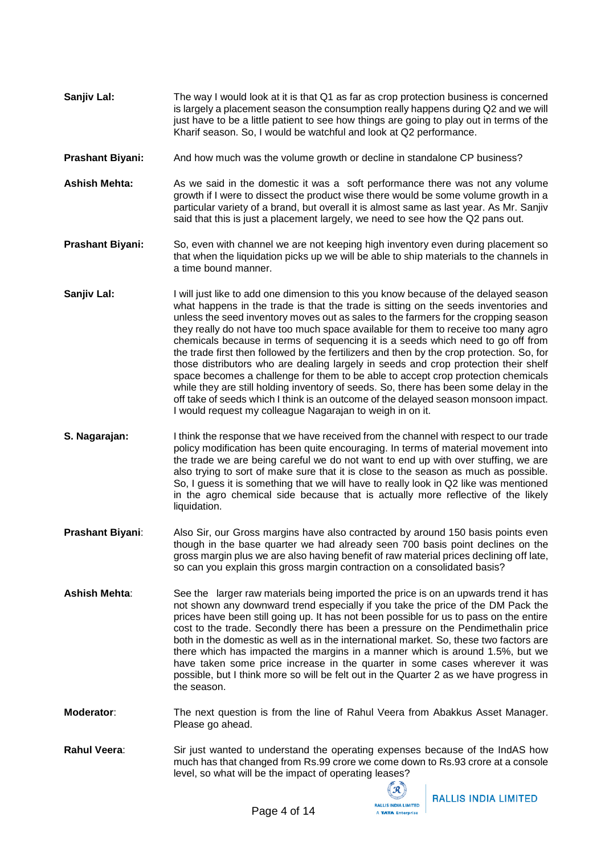- **Sanjiv Lal:** The way I would look at it is that Q1 as far as crop protection business is concerned is largely a placement season the consumption really happens during Q2 and we will just have to be a little patient to see how things are going to play out in terms of the Kharif season. So, I would be watchful and look at Q2 performance.
- **Prashant Biyani:** And how much was the volume growth or decline in standalone CP business?
- **Ashish Mehta:** As we said in the domestic it was a soft performance there was not any volume growth if I were to dissect the product wise there would be some volume growth in a particular variety of a brand, but overall it is almost same as last year. As Mr. Sanjiv said that this is just a placement largely, we need to see how the Q2 pans out.
- **Prashant Biyani:** So, even with channel we are not keeping high inventory even during placement so that when the liquidation picks up we will be able to ship materials to the channels in a time bound manner.
- **Sanjiv Lal:** I will just like to add one dimension to this you know because of the delayed season what happens in the trade is that the trade is sitting on the seeds inventories and unless the seed inventory moves out as sales to the farmers for the cropping season they really do not have too much space available for them to receive too many agro chemicals because in terms of sequencing it is a seeds which need to go off from the trade first then followed by the fertilizers and then by the crop protection. So, for those distributors who are dealing largely in seeds and crop protection their shelf space becomes a challenge for them to be able to accept crop protection chemicals while they are still holding inventory of seeds. So, there has been some delay in the off take of seeds which I think is an outcome of the delayed season monsoon impact. I would request my colleague Nagarajan to weigh in on it.
- **S. Nagarajan:** I think the response that we have received from the channel with respect to our trade policy modification has been quite encouraging. In terms of material movement into the trade we are being careful we do not want to end up with over stuffing, we are also trying to sort of make sure that it is close to the season as much as possible. So, I guess it is something that we will have to really look in Q2 like was mentioned in the agro chemical side because that is actually more reflective of the likely liquidation.
- **Prashant Biyani:** Also Sir, our Gross margins have also contracted by around 150 basis points even though in the base quarter we had already seen 700 basis point declines on the gross margin plus we are also having benefit of raw material prices declining off late, so can you explain this gross margin contraction on a consolidated basis?
- **Ashish Mehta**: See the larger raw materials being imported the price is on an upwards trend it has not shown any downward trend especially if you take the price of the DM Pack the prices have been still going up. It has not been possible for us to pass on the entire cost to the trade. Secondly there has been a pressure on the Pendimethalin price both in the domestic as well as in the international market. So, these two factors are there which has impacted the margins in a manner which is around 1.5%, but we have taken some price increase in the quarter in some cases wherever it was possible, but I think more so will be felt out in the Quarter 2 as we have progress in the season.
- **Moderator**: The next question is from the line of Rahul Veera from Abakkus Asset Manager. Please go ahead.
- **Rahul Veera**: Sir just wanted to understand the operating expenses because of the IndAS how much has that changed from Rs.99 crore we come down to Rs.93 crore at a console level, so what will be the impact of operating leases?

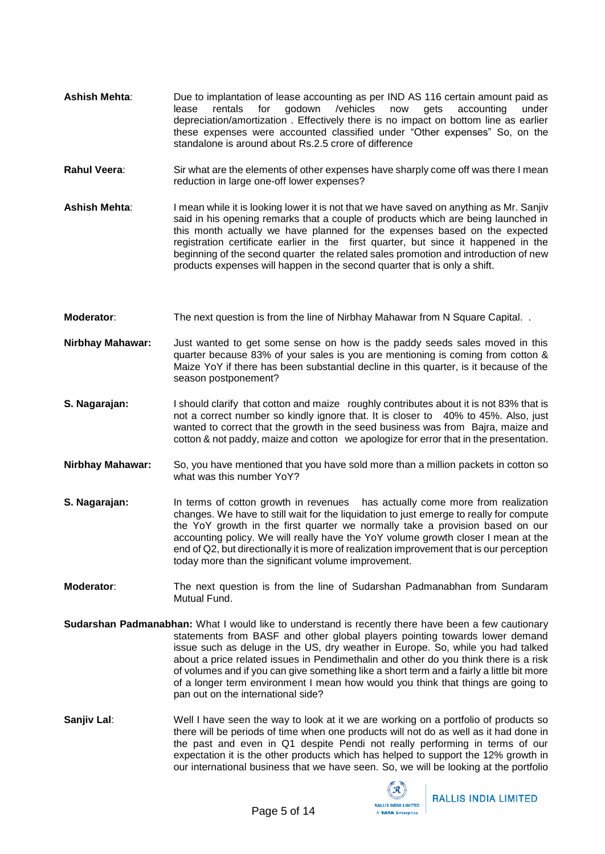- Ashish Mehta: Due to implantation of lease accounting as per IND AS 116 certain amount paid as<br>lease rentals for godown /vehicles now gets accounting under lease rentals for godown /vehicles now gets accounting under depreciation/amortization . Effectively there is no impact on bottom line as earlier these expenses were accounted classified under "Other expenses" So, on the standalone is around about Rs.2.5 crore of difference
- **Rahul Veera:** Sir what are the elements of other expenses have sharply come off was there I mean reduction in large one-off lower expenses?
- **Ashish Mehta**: I mean while it is looking lower it is not that we have saved on anything as Mr. Sanjiv said in his opening remarks that a couple of products which are being launched in this month actually we have planned for the expenses based on the expected registration certificate earlier in the first quarter, but since it happened in the beginning of the second quarter the related sales promotion and introduction of new products expenses will happen in the second quarter that is only a shift.
- **Moderator:** The next question is from the line of Nirbhay Mahawar from N Square Capital.
- **Nirbhay Mahawar:** Just wanted to get some sense on how is the paddy seeds sales moved in this quarter because 83% of your sales is you are mentioning is coming from cotton & Maize YoY if there has been substantial decline in this quarter, is it because of the season postponement?
- **S. Nagarajan:** I should clarify that cotton and maize roughly contributes about it is not 83% that is not a correct number so kindly ignore that. It is closer to 40% to 45%. Also, just wanted to correct that the growth in the seed business was from Bajra, maize and cotton & not paddy, maize and cotton we apologize for error that in the presentation.
- **Nirbhay Mahawar:** So, you have mentioned that you have sold more than a million packets in cotton so what was this number YoY?
- **S. Nagarajan:** In terms of cotton growth in revenues has actually come more from realization changes. We have to still wait for the liquidation to just emerge to really for compute the YoY growth in the first quarter we normally take a provision based on our accounting policy. We will really have the YoY volume growth closer I mean at the end of Q2, but directionally it is more of realization improvement that is our perception today more than the significant volume improvement.
- **Moderator**: The next question is from the line of Sudarshan Padmanabhan from Sundaram Mutual Fund.
- **Sudarshan Padmanabhan:** What I would like to understand is recently there have been a few cautionary statements from BASF and other global players pointing towards lower demand issue such as deluge in the US, dry weather in Europe. So, while you had talked about a price related issues in Pendimethalin and other do you think there is a risk of volumes and if you can give something like a short term and a fairly a little bit more of a longer term environment I mean how would you think that things are going to pan out on the international side?
- **Sanjiv Lal**: Well I have seen the way to look at it we are working on a portfolio of products so there will be periods of time when one products will not do as well as it had done in the past and even in Q1 despite Pendi not really performing in terms of our expectation it is the other products which has helped to support the 12% growth in our international business that we have seen. So, we will be looking at the portfolio

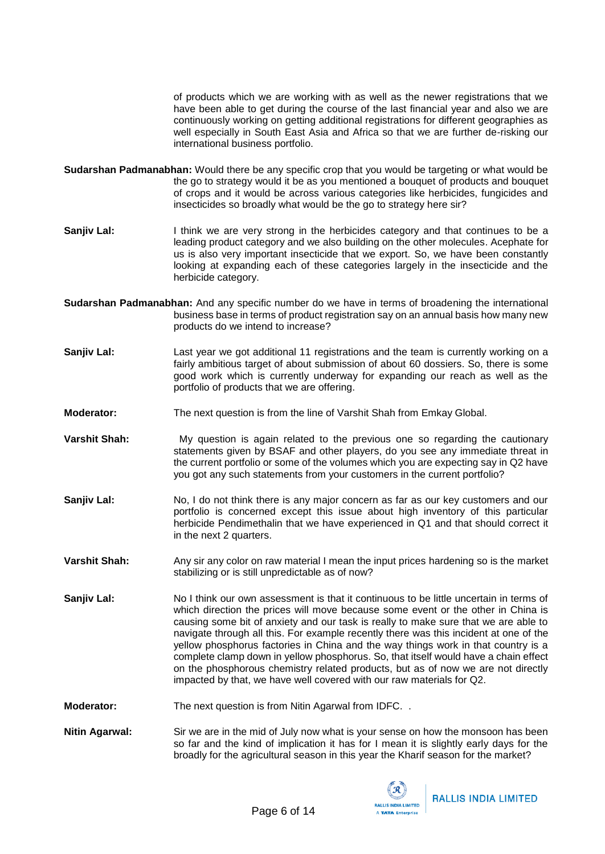of products which we are working with as well as the newer registrations that we have been able to get during the course of the last financial year and also we are continuously working on getting additional registrations for different geographies as well especially in South East Asia and Africa so that we are further de-risking our international business portfolio.

- **Sudarshan Padmanabhan:** Would there be any specific crop that you would be targeting or what would be the go to strategy would it be as you mentioned a bouquet of products and bouquet of crops and it would be across various categories like herbicides, fungicides and insecticides so broadly what would be the go to strategy here sir?
- **Sanjiv Lal:** I think we are very strong in the herbicides category and that continues to be a leading product category and we also building on the other molecules. Acephate for us is also very important insecticide that we export. So, we have been constantly looking at expanding each of these categories largely in the insecticide and the herbicide category.
- **Sudarshan Padmanabhan:** And any specific number do we have in terms of broadening the international business base in terms of product registration say on an annual basis how many new products do we intend to increase?
- **Sanjiv Lal:** Last year we got additional 11 registrations and the team is currently working on a fairly ambitious target of about submission of about 60 dossiers. So, there is some good work which is currently underway for expanding our reach as well as the portfolio of products that we are offering.
- **Moderator:** The next question is from the line of Varshit Shah from Emkay Global.
- **Varshit Shah:** My question is again related to the previous one so regarding the cautionary statements given by BSAF and other players, do you see any immediate threat in the current portfolio or some of the volumes which you are expecting say in Q2 have you got any such statements from your customers in the current portfolio?
- **Sanjiv Lal:** No, I do not think there is any major concern as far as our key customers and our portfolio is concerned except this issue about high inventory of this particular herbicide Pendimethalin that we have experienced in Q1 and that should correct it in the next 2 quarters.
- **Varshit Shah:** Any sir any color on raw material I mean the input prices hardening so is the market stabilizing or is still unpredictable as of now?
- **Sanjiv Lal:** No I think our own assessment is that it continuous to be little uncertain in terms of which direction the prices will move because some event or the other in China is causing some bit of anxiety and our task is really to make sure that we are able to navigate through all this. For example recently there was this incident at one of the yellow phosphorus factories in China and the way things work in that country is a complete clamp down in yellow phosphorus. So, that itself would have a chain effect on the phosphorous chemistry related products, but as of now we are not directly impacted by that, we have well covered with our raw materials for Q2.

**Moderator:** The next question is from Nitin Agarwal from IDFC.

**Nitin Agarwal:** Sir we are in the mid of July now what is your sense on how the monsoon has been so far and the kind of implication it has for I mean it is slightly early days for the broadly for the agricultural season in this year the Kharif season for the market?

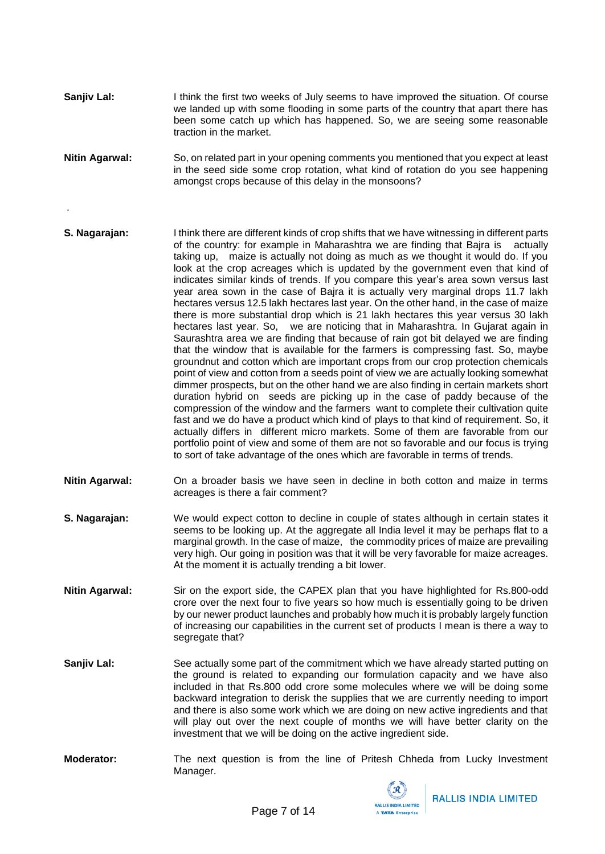- **Sanjiv Lal:** I think the first two weeks of July seems to have improved the situation. Of course we landed up with some flooding in some parts of the country that apart there has been some catch up which has happened. So, we are seeing some reasonable traction in the market.
- **Nitin Agarwal:** So, on related part in your opening comments you mentioned that you expect at least in the seed side some crop rotation, what kind of rotation do you see happening amongst crops because of this delay in the monsoons?

.

- **S. Nagarajan:** I think there are different kinds of crop shifts that we have witnessing in different parts of the country: for example in Maharashtra we are finding that Bajra is actually taking up, maize is actually not doing as much as we thought it would do. If you look at the crop acreages which is updated by the government even that kind of indicates similar kinds of trends. If you compare this year's area sown versus last year area sown in the case of Bajra it is actually very marginal drops 11.7 lakh hectares versus 12.5 lakh hectares last year. On the other hand, in the case of maize there is more substantial drop which is 21 lakh hectares this year versus 30 lakh hectares last year. So, we are noticing that in Maharashtra. In Gujarat again in Saurashtra area we are finding that because of rain got bit delayed we are finding that the window that is available for the farmers is compressing fast. So, maybe groundnut and cotton which are important crops from our crop protection chemicals point of view and cotton from a seeds point of view we are actually looking somewhat dimmer prospects, but on the other hand we are also finding in certain markets short duration hybrid on seeds are picking up in the case of paddy because of the compression of the window and the farmers want to complete their cultivation quite fast and we do have a product which kind of plays to that kind of requirement. So, it actually differs in different micro markets. Some of them are favorable from our portfolio point of view and some of them are not so favorable and our focus is trying to sort of take advantage of the ones which are favorable in terms of trends.
- **Nitin Agarwal:** On a broader basis we have seen in decline in both cotton and maize in terms acreages is there a fair comment?
- **S. Nagarajan:** We would expect cotton to decline in couple of states although in certain states it seems to be looking up. At the aggregate all India level it may be perhaps flat to a marginal growth. In the case of maize, the commodity prices of maize are prevailing very high. Our going in position was that it will be very favorable for maize acreages. At the moment it is actually trending a bit lower.
- **Nitin Agarwal:** Sir on the export side, the CAPEX plan that you have highlighted for Rs.800-odd crore over the next four to five years so how much is essentially going to be driven by our newer product launches and probably how much it is probably largely function of increasing our capabilities in the current set of products I mean is there a way to segregate that?
- **Sanjiv Lal:** See actually some part of the commitment which we have already started putting on the ground is related to expanding our formulation capacity and we have also included in that Rs.800 odd crore some molecules where we will be doing some backward integration to derisk the supplies that we are currently needing to import and there is also some work which we are doing on new active ingredients and that will play out over the next couple of months we will have better clarity on the investment that we will be doing on the active ingredient side.
- **Moderator:** The next question is from the line of Pritesh Chheda from Lucky Investment Manager.

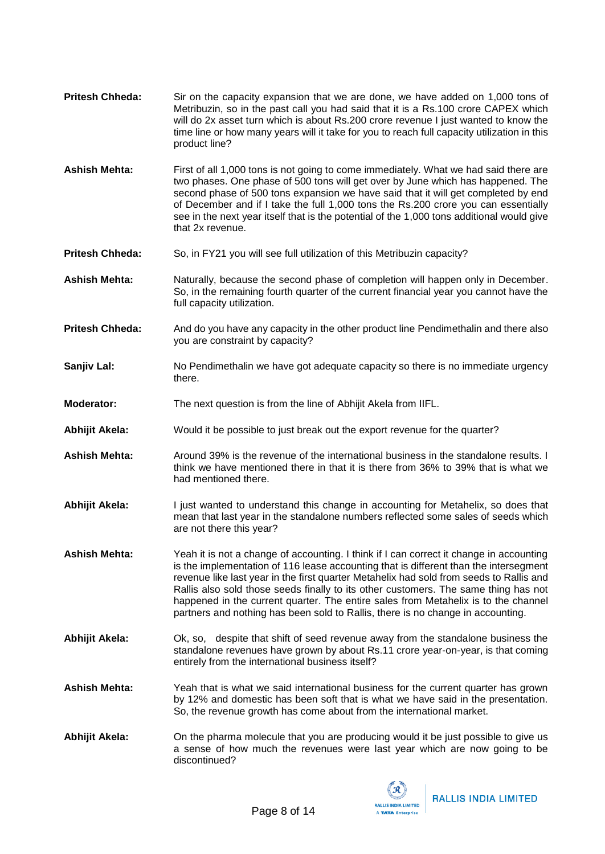- **Pritesh Chheda:** Sir on the capacity expansion that we are done, we have added on 1,000 tons of Metribuzin, so in the past call you had said that it is a Rs.100 crore CAPEX which will do 2x asset turn which is about Rs.200 crore revenue I just wanted to know the time line or how many years will it take for you to reach full capacity utilization in this product line? **Ashish Mehta:** First of all 1,000 tons is not going to come immediately. What we had said there are
- two phases. One phase of 500 tons will get over by June which has happened. The second phase of 500 tons expansion we have said that it will get completed by end of December and if I take the full 1,000 tons the Rs.200 crore you can essentially see in the next year itself that is the potential of the 1,000 tons additional would give that 2x revenue.
- **Pritesh Chheda:** So, in FY21 you will see full utilization of this Metribuzin capacity?
- **Ashish Mehta:** Naturally, because the second phase of completion will happen only in December. So, in the remaining fourth quarter of the current financial year you cannot have the full capacity utilization.
- **Pritesh Chheda:** And do you have any capacity in the other product line Pendimethalin and there also you are constraint by capacity?
- **Sanjiv Lal:** No Pendimethalin we have got adequate capacity so there is no immediate urgency there.
- **Moderator:** The next question is from the line of Abhijit Akela from IIFL.
- **Abhijit Akela:** Would it be possible to just break out the export revenue for the quarter?
- **Ashish Mehta:** Around 39% is the revenue of the international business in the standalone results. I think we have mentioned there in that it is there from 36% to 39% that is what we had mentioned there.
- **Abhijit Akela:** I just wanted to understand this change in accounting for Metahelix, so does that mean that last year in the standalone numbers reflected some sales of seeds which are not there this year?
- **Ashish Mehta:** Yeah it is not a change of accounting. I think if I can correct it change in accounting is the implementation of 116 lease accounting that is different than the intersegment revenue like last year in the first quarter Metahelix had sold from seeds to Rallis and Rallis also sold those seeds finally to its other customers. The same thing has not happened in the current quarter. The entire sales from Metahelix is to the channel partners and nothing has been sold to Rallis, there is no change in accounting.
- **Abhijit Akela:** Ok, so, despite that shift of seed revenue away from the standalone business the standalone revenues have grown by about Rs.11 crore year-on-year, is that coming entirely from the international business itself?
- **Ashish Mehta:** Yeah that is what we said international business for the current quarter has grown by 12% and domestic has been soft that is what we have said in the presentation. So, the revenue growth has come about from the international market.
- **Abhijit Akela:** On the pharma molecule that you are producing would it be just possible to give us a sense of how much the revenues were last year which are now going to be discontinued?

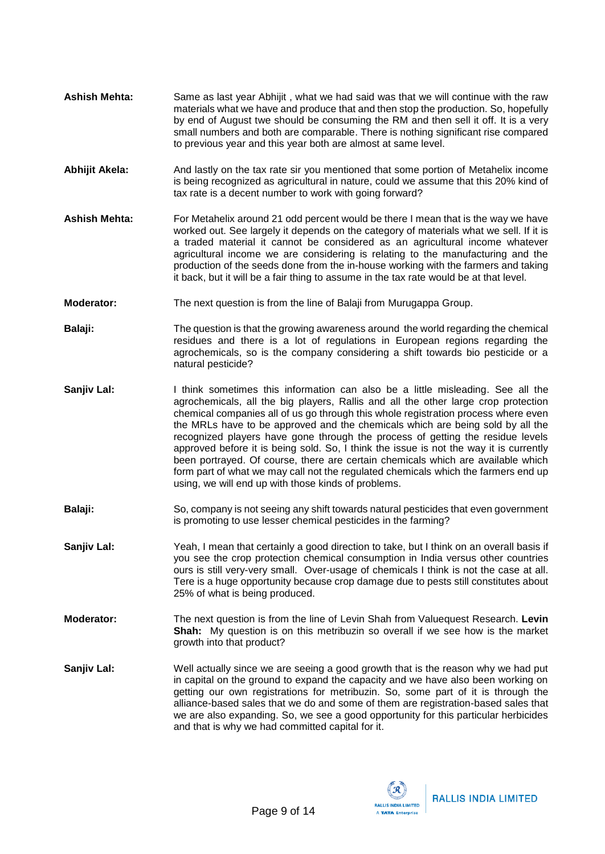- **Ashish Mehta:** Same as last year Abhijit , what we had said was that we will continue with the raw materials what we have and produce that and then stop the production. So, hopefully by end of August twe should be consuming the RM and then sell it off. It is a very small numbers and both are comparable. There is nothing significant rise compared to previous year and this year both are almost at same level.
- **Abhijit Akela:** And lastly on the tax rate sir you mentioned that some portion of Metahelix income is being recognized as agricultural in nature, could we assume that this 20% kind of tax rate is a decent number to work with going forward?
- **Ashish Mehta:** For Metahelix around 21 odd percent would be there I mean that is the way we have worked out. See largely it depends on the category of materials what we sell. If it is a traded material it cannot be considered as an agricultural income whatever agricultural income we are considering is relating to the manufacturing and the production of the seeds done from the in-house working with the farmers and taking it back, but it will be a fair thing to assume in the tax rate would be at that level.
- **Moderator:** The next question is from the line of Balaji from Murugappa Group.
- **Balaji:** The question is that the growing awareness around the world regarding the chemical residues and there is a lot of regulations in European regions regarding the agrochemicals, so is the company considering a shift towards bio pesticide or a natural pesticide?
- **Sanjiv Lal:** I think sometimes this information can also be a little misleading. See all the agrochemicals, all the big players, Rallis and all the other large crop protection chemical companies all of us go through this whole registration process where even the MRLs have to be approved and the chemicals which are being sold by all the recognized players have gone through the process of getting the residue levels approved before it is being sold. So, I think the issue is not the way it is currently been portrayed. Of course, there are certain chemicals which are available which form part of what we may call not the regulated chemicals which the farmers end up using, we will end up with those kinds of problems.
- **Balaji:** So, company is not seeing any shift towards natural pesticides that even government is promoting to use lesser chemical pesticides in the farming?
- **Sanjiv Lal:** Yeah, I mean that certainly a good direction to take, but I think on an overall basis if you see the crop protection chemical consumption in India versus other countries ours is still very-very small. Over-usage of chemicals I think is not the case at all. Tere is a huge opportunity because crop damage due to pests still constitutes about 25% of what is being produced.
- **Moderator:** The next question is from the line of Levin Shah from Valuequest Research. **Levin Shah:** My question is on this metribuzin so overall if we see how is the market growth into that product?
- **Sanjiv Lal:** Well actually since we are seeing a good growth that is the reason why we had put in capital on the ground to expand the capacity and we have also been working on getting our own registrations for metribuzin. So, some part of it is through the alliance-based sales that we do and some of them are registration-based sales that we are also expanding. So, we see a good opportunity for this particular herbicides and that is why we had committed capital for it.

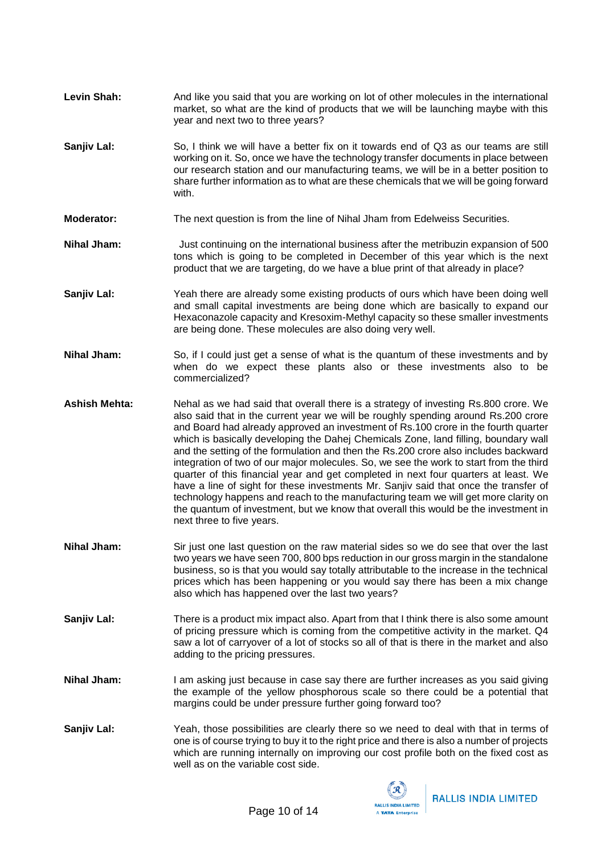- Levin Shah: And like you said that you are working on lot of other molecules in the international market, so what are the kind of products that we will be launching maybe with this year and next two to three years?
- **Sanjiv Lal:** So, I think we will have a better fix on it towards end of Q3 as our teams are still working on it. So, once we have the technology transfer documents in place between our research station and our manufacturing teams, we will be in a better position to share further information as to what are these chemicals that we will be going forward with.
- **Moderator:** The next question is from the line of Nihal Jham from Edelweiss Securities.
- **Nihal Jham:** Just continuing on the international business after the metribuzin expansion of 500 tons which is going to be completed in December of this year which is the next product that we are targeting, do we have a blue print of that already in place?
- **Sanjiv Lal:** Yeah there are already some existing products of ours which have been doing well and small capital investments are being done which are basically to expand our Hexaconazole capacity and Kresoxim-Methyl capacity so these smaller investments are being done. These molecules are also doing very well.
- **Nihal Jham:** So, if I could just get a sense of what is the quantum of these investments and by when do we expect these plants also or these investments also to be commercialized?
- **Ashish Mehta:** Nehal as we had said that overall there is a strategy of investing Rs.800 crore. We also said that in the current year we will be roughly spending around Rs.200 crore and Board had already approved an investment of Rs.100 crore in the fourth quarter which is basically developing the Dahej Chemicals Zone, land filling, boundary wall and the setting of the formulation and then the Rs.200 crore also includes backward integration of two of our major molecules. So, we see the work to start from the third quarter of this financial year and get completed in next four quarters at least. We have a line of sight for these investments Mr. Sanjiv said that once the transfer of technology happens and reach to the manufacturing team we will get more clarity on the quantum of investment, but we know that overall this would be the investment in next three to five years.
- **Nihal Jham:** Sir just one last question on the raw material sides so we do see that over the last two years we have seen 700, 800 bps reduction in our gross margin in the standalone business, so is that you would say totally attributable to the increase in the technical prices which has been happening or you would say there has been a mix change also which has happened over the last two years?
- **Sanjiv Lal:** There is a product mix impact also. Apart from that I think there is also some amount of pricing pressure which is coming from the competitive activity in the market. Q4 saw a lot of carryover of a lot of stocks so all of that is there in the market and also adding to the pricing pressures.
- **Nihal Jham:** I am asking just because in case say there are further increases as you said giving the example of the yellow phosphorous scale so there could be a potential that margins could be under pressure further going forward too?
- **Sanjiv Lal:** Yeah, those possibilities are clearly there so we need to deal with that in terms of one is of course trying to buy it to the right price and there is also a number of projects which are running internally on improving our cost profile both on the fixed cost as well as on the variable cost side.

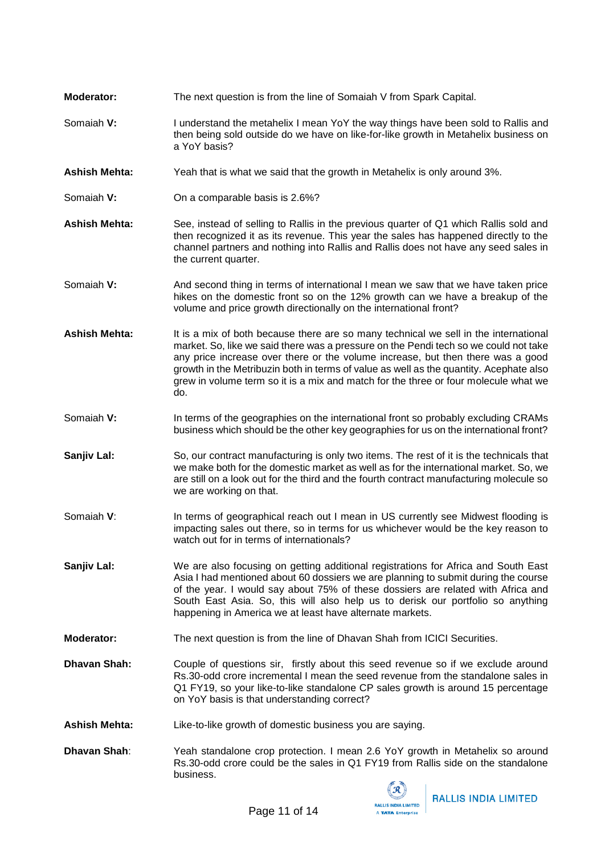- **Moderator:** The next question is from the line of Somaiah V from Spark Capital.
- Somaiah **V:** I understand the metahelix I mean YoY the way things have been sold to Rallis and then being sold outside do we have on like-for-like growth in Metahelix business on a YoY basis?
- **Ashish Mehta:** Yeah that is what we said that the growth in Metahelix is only around 3%.
- Somaiah **V:** On a comparable basis is 2.6%?
- **Ashish Mehta:** See, instead of selling to Rallis in the previous quarter of Q1 which Rallis sold and then recognized it as its revenue. This year the sales has happened directly to the channel partners and nothing into Rallis and Rallis does not have any seed sales in the current quarter.
- Somaiah **V:** And second thing in terms of international I mean we saw that we have taken price hikes on the domestic front so on the 12% growth can we have a breakup of the volume and price growth directionally on the international front?
- Ashish Mehta: It is a mix of both because there are so many technical we sell in the international market. So, like we said there was a pressure on the Pendi tech so we could not take any price increase over there or the volume increase, but then there was a good growth in the Metribuzin both in terms of value as well as the quantity. Acephate also grew in volume term so it is a mix and match for the three or four molecule what we do.
- Somaiah **V:** In terms of the geographies on the international front so probably excluding CRAMs business which should be the other key geographies for us on the international front?
- **Sanjiv Lal:** So, our contract manufacturing is only two items. The rest of it is the technicals that we make both for the domestic market as well as for the international market. So, we are still on a look out for the third and the fourth contract manufacturing molecule so we are working on that.
- Somaiah **V**: In terms of geographical reach out I mean in US currently see Midwest flooding is impacting sales out there, so in terms for us whichever would be the key reason to watch out for in terms of internationals?
- **Sanjiv Lal:** We are also focusing on getting additional registrations for Africa and South East Asia I had mentioned about 60 dossiers we are planning to submit during the course of the year. I would say about 75% of these dossiers are related with Africa and South East Asia. So, this will also help us to derisk our portfolio so anything happening in America we at least have alternate markets.
- **Moderator:** The next question is from the line of Dhavan Shah from ICICI Securities.
- **Dhavan Shah:** Couple of questions sir, firstly about this seed revenue so if we exclude around Rs.30-odd crore incremental I mean the seed revenue from the standalone sales in Q1 FY19, so your like-to-like standalone CP sales growth is around 15 percentage on YoY basis is that understanding correct?

**Ashish Mehta:** Like-to-like growth of domestic business you are saying.

**Dhavan Shah**: Yeah standalone crop protection. I mean 2.6 YoY growth in Metahelix so around Rs.30-odd crore could be the sales in Q1 FY19 from Rallis side on the standalone business.

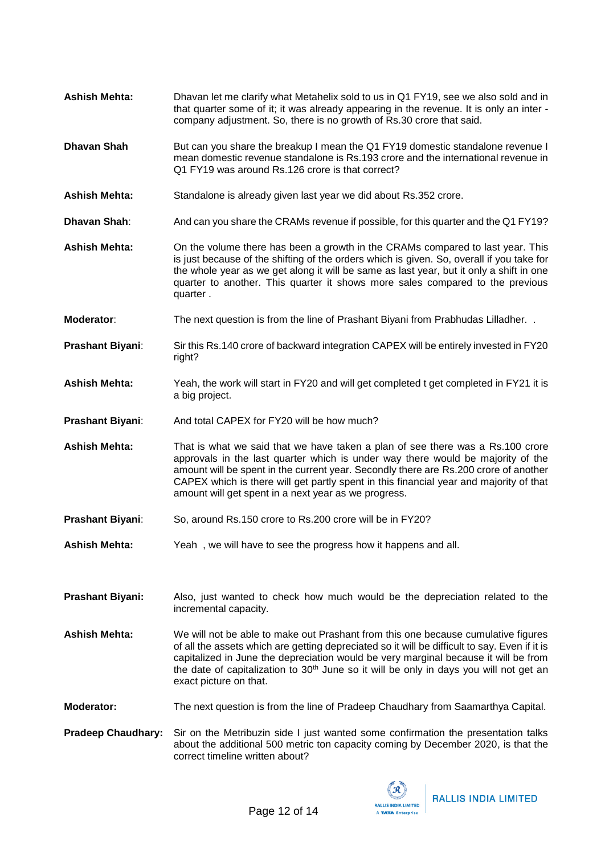- **Ashish Mehta:** Dhavan let me clarify what Metahelix sold to us in Q1 FY19, see we also sold and in that quarter some of it; it was already appearing in the revenue. It is only an inter company adjustment. So, there is no growth of Rs.30 crore that said.
- **Dhavan Shah** But can you share the breakup I mean the Q1 FY19 domestic standalone revenue I mean domestic revenue standalone is Rs.193 crore and the international revenue in Q1 FY19 was around Rs.126 crore is that correct?
- Ashish Mehta: Standalone is already given last year we did about Rs.352 crore.
- **Dhavan Shah**: And can you share the CRAMs revenue if possible, for this quarter and the Q1 FY19?
- **Ashish Mehta:** On the volume there has been a growth in the CRAMs compared to last year. This is just because of the shifting of the orders which is given. So, overall if you take for the whole year as we get along it will be same as last year, but it only a shift in one quarter to another. This quarter it shows more sales compared to the previous quarter .
- **Moderator**: The next question is from the line of Prashant Biyani from Prabhudas Lilladher. .
- **Prashant Biyani**: Sir this Rs.140 crore of backward integration CAPEX will be entirely invested in FY20 right?
- **Ashish Mehta:** Yeah, the work will start in FY20 and will get completed t get completed in FY21 it is a big project.
- **Prashant Biyani:** And total CAPEX for FY20 will be how much?
- **Ashish Mehta:** That is what we said that we have taken a plan of see there was a Rs.100 crore approvals in the last quarter which is under way there would be majority of the amount will be spent in the current year. Secondly there are Rs.200 crore of another CAPEX which is there will get partly spent in this financial year and majority of that amount will get spent in a next year as we progress.
- **Prashant Biyani**: So, around Rs.150 crore to Rs.200 crore will be in FY20?
- **Ashish Mehta:** Yeah , we will have to see the progress how it happens and all.
- **Prashant Biyani:** Also, just wanted to check how much would be the depreciation related to the incremental capacity.
- **Ashish Mehta:** We will not be able to make out Prashant from this one because cumulative figures of all the assets which are getting depreciated so it will be difficult to say. Even if it is capitalized in June the depreciation would be very marginal because it will be from the date of capitalization to  $30<sup>th</sup>$  June so it will be only in days you will not get an exact picture on that.
- **Moderator:** The next question is from the line of Pradeep Chaudhary from Saamarthya Capital.
- **Pradeep Chaudhary:** Sir on the Metribuzin side I just wanted some confirmation the presentation talks about the additional 500 metric ton capacity coming by December 2020, is that the correct timeline written about?

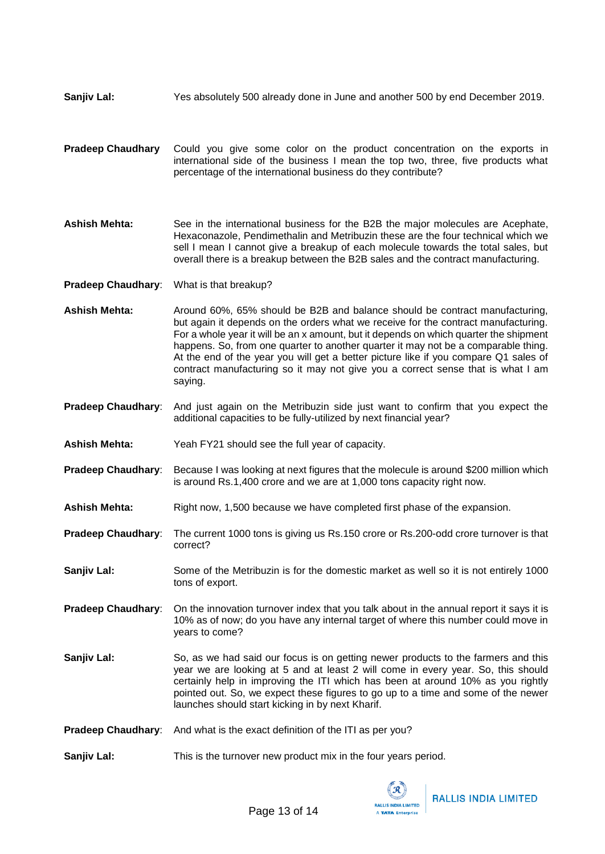- **Sanjiv Lal:** Yes absolutely 500 already done in June and another 500 by end December 2019.
- **Pradeep Chaudhary** Could you give some color on the product concentration on the exports in international side of the business I mean the top two, three, five products what percentage of the international business do they contribute?
- **Ashish Mehta:** See in the international business for the B2B the major molecules are Acephate, Hexaconazole, Pendimethalin and Metribuzin these are the four technical which we sell I mean I cannot give a breakup of each molecule towards the total sales, but overall there is a breakup between the B2B sales and the contract manufacturing.
- **Pradeep Chaudhary**: What is that breakup?
- **Ashish Mehta:** Around 60%, 65% should be B2B and balance should be contract manufacturing, but again it depends on the orders what we receive for the contract manufacturing. For a whole year it will be an x amount, but it depends on which quarter the shipment happens. So, from one quarter to another quarter it may not be a comparable thing. At the end of the year you will get a better picture like if you compare Q1 sales of contract manufacturing so it may not give you a correct sense that is what I am saying.
- **Pradeep Chaudhary**: And just again on the Metribuzin side just want to confirm that you expect the additional capacities to be fully-utilized by next financial year?
- **Ashish Mehta:** Yeah FY21 should see the full year of capacity.
- **Pradeep Chaudhary**: Because I was looking at next figures that the molecule is around \$200 million which is around Rs.1,400 crore and we are at 1,000 tons capacity right now.
- **Ashish Mehta:** Right now, 1,500 because we have completed first phase of the expansion.
- **Pradeep Chaudhary**: The current 1000 tons is giving us Rs.150 crore or Rs.200-odd crore turnover is that correct?
- **Sanjiv Lal:** Some of the Metribuzin is for the domestic market as well so it is not entirely 1000 tons of export.
- **Pradeep Chaudhary:** On the innovation turnover index that you talk about in the annual report it says it is 10% as of now; do you have any internal target of where this number could move in years to come?
- **Sanjiv Lal:** So, as we had said our focus is on getting newer products to the farmers and this year we are looking at 5 and at least 2 will come in every year. So, this should certainly help in improving the ITI which has been at around 10% as you rightly pointed out. So, we expect these figures to go up to a time and some of the newer launches should start kicking in by next Kharif.
- **Pradeep Chaudhary**: And what is the exact definition of the ITI as per you?
- **Sanjiv Lal:** This is the turnover new product mix in the four years period.